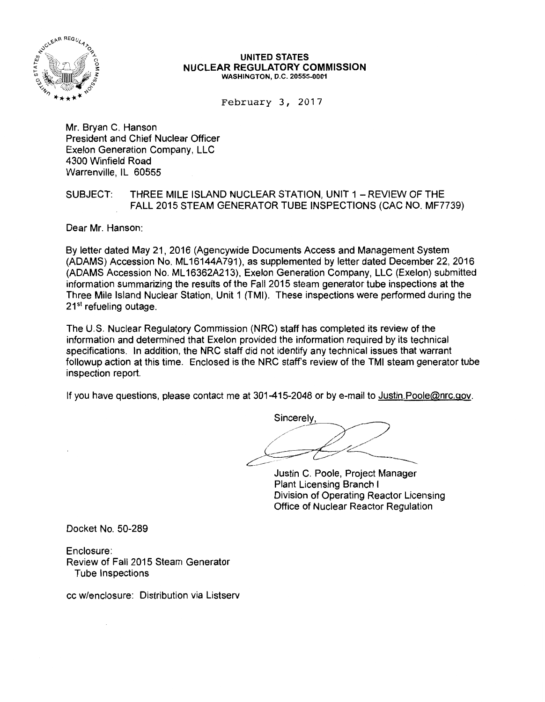

#### UNITED STATES NUCLEAR REGULATORY COMMISSION WASHINGTON, D.C. 20555-0001

February 3, 2017

Mr. Bryan C. Hanson President and Chief Nuclear Officer Exelon Generation Company, LLC 4300 Winfield Road Warrenville, IL 60555

### SUBJECT: THREE MILE ISLAND NUCLEAR STATION, UNIT 1 - REVIEW OF THE FALL 2015 STEAM GENERATOR TUBE INSPECTIONS (CAC NO. MF7739)

Dear Mr. Hanson:

By letter dated May 21, 2016 (Agencywide Documents Access and Management System (ADAMS) Accession No. ML 16144A791), as supplemented by letter dated December 22, 2016 (ADAMS Accession No. ML 16362A213), Exelon Generation Company, LLC (Exelon) submitted information summarizing the results of the Fall 2015 steam generator tube inspections at the Three Mile Island Nuclear Station, Unit 1 (TMI). These inspections were performed during the  $21<sup>st</sup>$  refueling outage.

The U.S. Nuclear Regulatory Commission (NRC) staff has completed its review of the information and determined that Exelon provided the information required by its technical specifications. In addition, the NRC staff did not identify any technical issues that warrant followup action at this time. Enclosed is the NRC staff's review of the TMI steam generator tube inspection report.

If you have questions, please contact me at 301-415-2048 or by e-mail to Justin. Poole@nrc.gov.

Sincerely

Justin C. Poole, Project Manager Plant Licensing Branch I Division of Operating Reactor Licensing Office of Nuclear Reactor Regulation

Docket No. 50-289

Enclosure: Review of Fall 2015 Steam Generator Tube Inspections

cc w/enclosure: Distribution via Listserv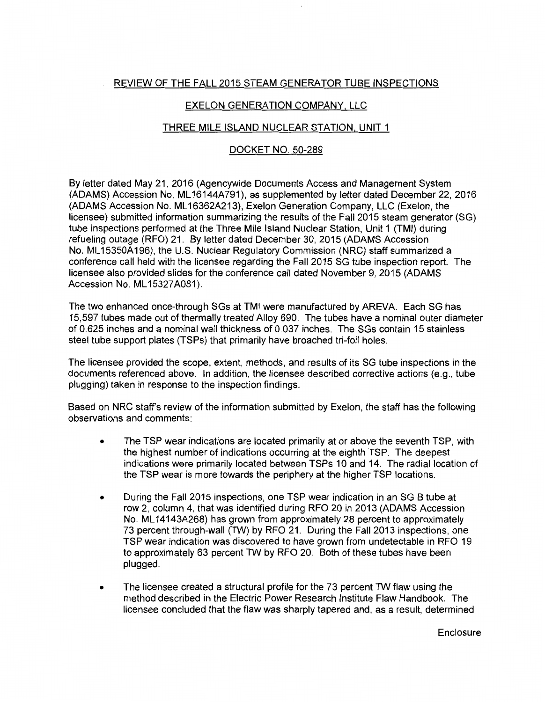# REVIEW OF THE FALL 2015 STEAM GENERATOR TUBE INSPECTIONS

## EXELON GENERATION COMPANY, LLC

### THREE MILE ISLAND NUCLEAR STATION, UNIT 1

#### DOCKET NO. 50-289

By letter dated May 21, 2016 (Agencywide Documents Access and Management System (ADAMS) Accession No. ML 16144A791), as supplemented by letter dated December 22, 2016 (ADAMS Accession No. ML 16362A213), Exelon Generation Company, LLC (Exelon, the licensee) submitted information summarizing the results of the Fall 2015 steam generator (SG) tube inspections performed at the Three Mile Island Nuclear Station, Unit 1 (TMI) during refueling outage (RFO) 21. By letter dated December 30, 2015 (ADAMS Accession No. ML 15350A196), the U.S. Nuclear Regulatory Commission (NRC) staff summarized a conference call held with the licensee regarding the Fall 2015 SG tube inspection report. The licensee also provided slides for the conference call dated November 9, 2015 (ADAMS Accession No. ML15327A081).

The two enhanced once-through SGs at TMI were manufactured by AREVA. Each SG has 15,597 tubes made out of thermally treated Alloy 690. The tubes have a nominal outer diameter of 0.625 inches and a nominal wall thickness of 0.037 inches. The SGs contain 15 stainless steel tube support plates (TSPs) that primarily have broached tri-foil holes.

The licensee provided the scope, extent, methods, and results of its SG tube inspections in the documents referenced above. In addition, the licensee described corrective actions (e.g., tube plugging) taken in response to the inspection findings.

Based on NRC staff's review of the information submitted by Exelon, the staff has the following observations and comments:

- The TSP wear indications are located primarily at or above the seventh TSP, with the highest number of indications occurring at the eighth TSP. The deepest indications were primarily located between TSPs 10 and 14. The radial location of the TSP wear is more towards the periphery at the higher TSP locations.
- During the Fall 2015 inspections, one TSP wear indication in an SG B tube at row 2, column 4, that was identified during RFO 20 in 2013 (ADAMS Accession No. ML 14143A268) has grown from approximately 28 percent to approximately 73 percent through-wall (TW) by RFO 21. During the Fall 2013 inspections, one TSP wear indication was discovered to have grown from undetectable in RFO 19 to approximately 63 percent TW by RFO 20. Both of these tubes have been plugged.
- The licensee created a structural profile for the 73 percent TW flaw using the method described in the Electric Power Research Institute Flaw Handbook. The licensee concluded that the flaw was sharply tapered and, as a result, determined

**Enclosure**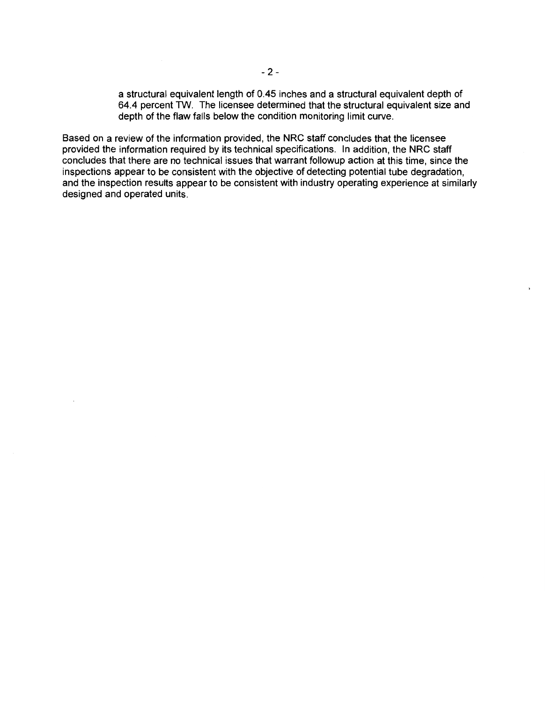a structural equivalent length of 0.45 inches and a structural equivalent depth of 64.4 percent TW. The licensee determined that the structural equivalent size and depth of the flaw falls below the condition monitoring limit curve.

Based on a review of the information provided, the NRC staff concludes that the licensee provided the information required by its technical specifications. In addition, the NRC staff concludes that there are no technical issues that warrant followup action at this time, since the inspections appear to be consistent with the objective of detecting potential tube degradation, and the inspection results appear to be consistent with industry operating experience at similarly designed and operated units.